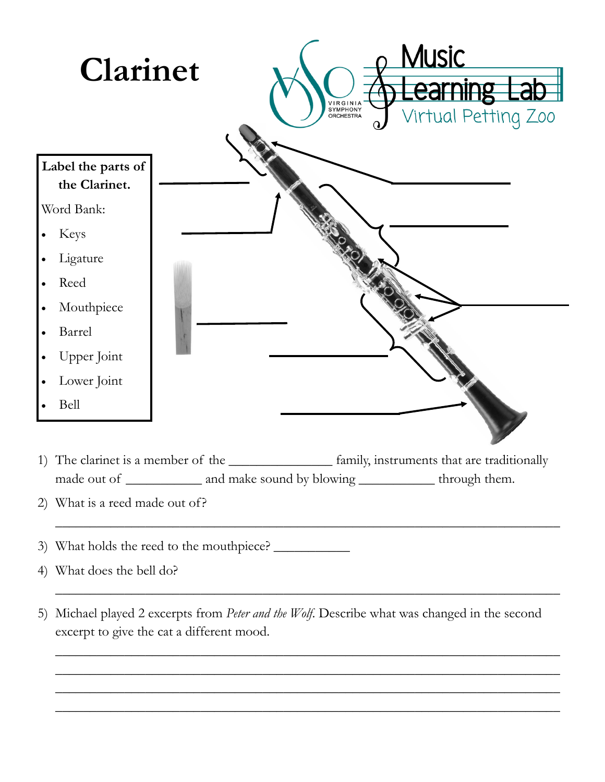

1) The clarinet is a member of the \_\_\_\_\_\_\_\_\_\_\_\_\_\_\_ family, instruments that are traditionally made out of \_\_\_\_\_\_\_\_\_\_\_\_ and make sound by blowing \_\_\_\_\_\_\_\_\_\_\_\_\_ through them.

\_\_\_\_\_\_\_\_\_\_\_\_\_\_\_\_\_\_\_\_\_\_\_\_\_\_\_\_\_\_\_\_\_\_\_\_\_\_\_\_\_\_\_\_\_\_\_\_\_\_\_\_\_\_\_\_\_\_\_\_\_\_\_\_\_\_\_\_\_\_\_\_\_

\_\_\_\_\_\_\_\_\_\_\_\_\_\_\_\_\_\_\_\_\_\_\_\_\_\_\_\_\_\_\_\_\_\_\_\_\_\_\_\_\_\_\_\_\_\_\_\_\_\_\_\_\_\_\_\_\_\_\_\_\_\_\_\_\_\_\_\_\_\_\_\_\_

\_\_\_\_\_\_\_\_\_\_\_\_\_\_\_\_\_\_\_\_\_\_\_\_\_\_\_\_\_\_\_\_\_\_\_\_\_\_\_\_\_\_\_\_\_\_\_\_\_\_\_\_\_\_\_\_\_\_\_\_\_\_\_\_\_\_\_\_\_\_\_\_\_ \_\_\_\_\_\_\_\_\_\_\_\_\_\_\_\_\_\_\_\_\_\_\_\_\_\_\_\_\_\_\_\_\_\_\_\_\_\_\_\_\_\_\_\_\_\_\_\_\_\_\_\_\_\_\_\_\_\_\_\_\_\_\_\_\_\_\_\_\_\_\_\_\_ \_\_\_\_\_\_\_\_\_\_\_\_\_\_\_\_\_\_\_\_\_\_\_\_\_\_\_\_\_\_\_\_\_\_\_\_\_\_\_\_\_\_\_\_\_\_\_\_\_\_\_\_\_\_\_\_\_\_\_\_\_\_\_\_\_\_\_\_\_\_\_\_\_ \_\_\_\_\_\_\_\_\_\_\_\_\_\_\_\_\_\_\_\_\_\_\_\_\_\_\_\_\_\_\_\_\_\_\_\_\_\_\_\_\_\_\_\_\_\_\_\_\_\_\_\_\_\_\_\_\_\_\_\_\_\_\_\_\_\_\_\_\_\_\_\_\_

- 2) What is a reed made out of?
- 3) What holds the reed to the mouthpiece? \_\_\_\_\_\_\_\_\_\_\_
- 4) What does the bell do?
- 5) Michael played 2 excerpts from *Peter and the Wolf*. Describe what was changed in the second excerpt to give the cat a different mood.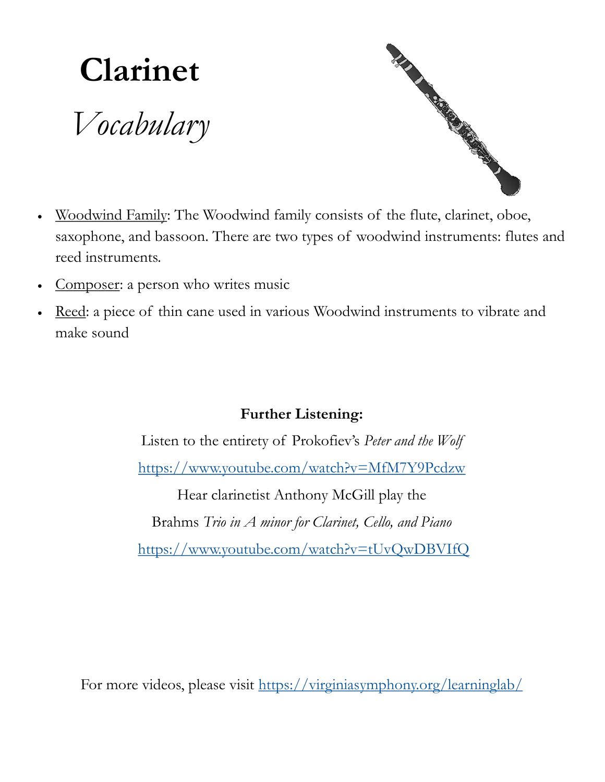## **Clarinet**

*Vocabulary*



- Woodwind Family: The Woodwind family consists of the flute, clarinet, oboe, saxophone, and bassoon. There are two types of woodwind instruments: flutes and reed instruments.
- Composer: a person who writes music
- Reed: a piece of thin cane used in various Woodwind instruments to vibrate and make sound

## **Further Listening:**

Listen to the entirety of Prokofiev's *Peter and the Wolf* <https://www.youtube.com/watch?v=MfM7Y9Pcdzw> Hear clarinetist Anthony McGill play the

Brahms *Trio in A minor for Clarinet, Cello, and Piano*

<https://www.youtube.com/watch?v=tUvQwDBVIfQ>

For more videos, please visit <https://virginiasymphony.org/learninglab/>